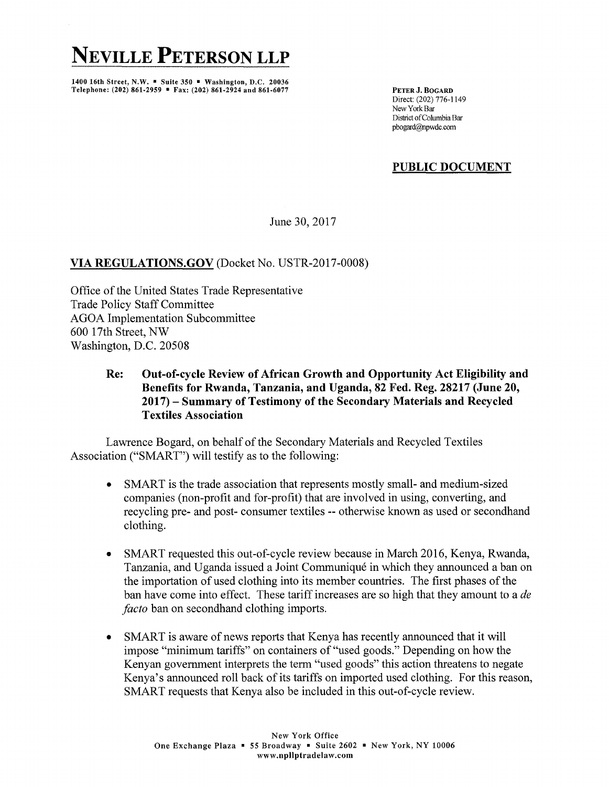## **NEVILLE PETERSON LLP**

1400 16th Street, N.W. • Suite 350 • Washington, D.C. 20036 Telephone: (202) 861-2959 • Fax: (202) 861-2924 and 861-6077

PETER J. BOGARD Direct: (202) 776-1149 New York Bar District of Columbia Bar pbogard@npwdc.com

## **PUBLIC DOCUMENT**

June 30, 2017

## **VIA REGULATIONS.GOV** (Docket No. USTR-2017-0008)

Office of the United States Trade Representative Trade Policy Staff Committee AGOA Implementation Subcommittee 600 17th Street, NW Washington, D.C. 20508

> **Re: Out-of-cycle Review of African Growth and Opportunity Act Eligibility and Benefits for Rwanda, Tanzania, and Uganda, 82 Fed. Reg. 28217 (June 20, 2017) - Summary of Testimony of the Secondary Materials and Recycled Textiles Association**

Lawrence Bogard, on behalf of the Secondary Materials and Recycled Textiles Association ("SMART") will testify as to the following:

- SMART is the trade association that represents mostly small- and medium-sized companies (non-profit and for-profit) that are involved in using, converting, and recycling pre- and post- consumer textiles -- otherwise known as used or secondhand clothing.
- SMART requested this out-of-cycle review because in March 2016, Kenya, Rwanda, Tanzania, and Uganda issued a Joint Communique in which they announced a ban on the importation of used clothing into its member countries. The first phases of the ban have come into effect. These tariff increases are so high that they amount to a *de facto* ban on secondhand clothing imports.
- SMART is aware of news reports that Kenya has recently announced that it will impose "minimum tariffs" on containers of "used goods." Depending on how the Kenyan government interprets the term "used goods" this action threatens to negate Kenya's announced roll back of its tariffs on imported used clothing. For this reason, SMART requests that Kenya also be included in this out-of-cycle review.